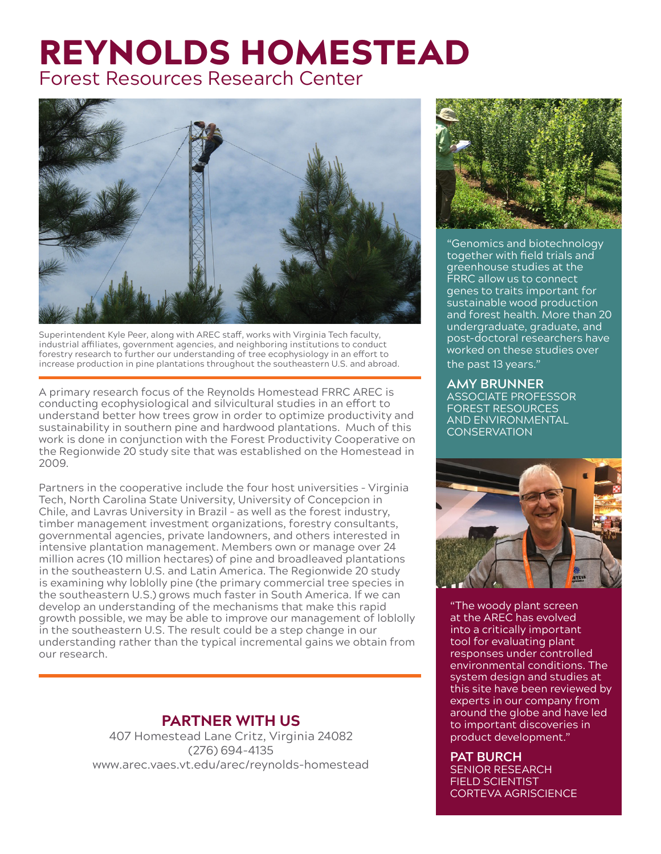## REYNOLDS HOMESTEAD Forest Resources Research Center



Superintendent Kyle Peer, along with AREC staff, works with Virginia Tech faculty, industrial affiliates, government agencies, and neighboring institutions to conduct forestry research to further our understanding of tree ecophysiology in an effort to increase production in pine plantations throughout the southeastern U.S. and abroad.

A primary research focus of the Reynolds Homestead FRRC AREC is conducting ecophysiological and silvicultural studies in an effort to understand better how trees grow in order to optimize productivity and sustainability in southern pine and hardwood plantations. Much of this work is done in conjunction with the Forest Productivity Cooperative on the Regionwide 20 study site that was established on the Homestead in 2009.

Partners in the cooperative include the four host universities – Virginia Tech, North Carolina State University, University of Concepcion in Chile, and Lavras University in Brazil – as well as the forest industry, timber management investment organizations, forestry consultants, governmental agencies, private landowners, and others interested in intensive plantation management. Members own or manage over 24 million acres (10 million hectares) of pine and broadleaved plantations in the southeastern U.S. and Latin America. The Regionwide 20 study is examining why loblolly pine (the primary commercial tree species in the southeastern U.S.) grows much faster in South America. If we can develop an understanding of the mechanisms that make this rapid growth possible, we may be able to improve our management of loblolly in the southeastern U.S. The result could be a step change in our understanding rather than the typical incremental gains we obtain from our research.

#### **PARTNER WITH US**

407 Homestead Lane Critz, Virginia 24082 (276) 694-4135 www.arec.vaes.vt.edu/arec/reynolds-homestead



"Genomics and biotechnology together with field trials and greenhouse studies at the **FRRC** allow us to connect genes to traits important for sustainable wood production and forest health. More than 20 undergraduate, graduate, and post-doctoral researchers have worked on these studies over the past 13 years."

#### **AMY BRUNNER** ASSOCIATE PROFESSOR FOREST RESOURCES AND ENVIRONMENTAL **CONSERVATION**



"The woody plant screen at the AREC has evolved into a critically important tool for evaluating plant responses under controlled environmental conditions. The system design and studies at this site have been reviewed by experts in our company from around the globe and have led to important discoveries in product development."

#### **PAT BURCH**

SENIOR RESEARCH FIELD SCIENTIST CORTEVA AGRISCIENCE